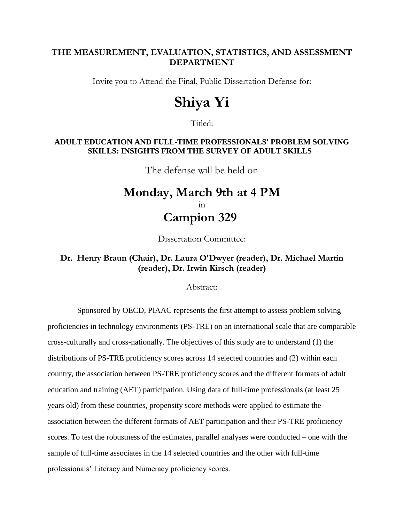#### **THE MEASUREMENT, EVALUATION, STATISTICS, AND ASSESSMENT DEPARTMENT**

Invite you to Attend the Final, Public Dissertation Defense for:

# **Shiya Yi**

Titled:

#### **ADULT EDUCATION AND FULL-TIME PROFESSIONALS' PROBLEM SOLVING SKILLS: INSIGHTS FROM THE SURVEY OF ADULT SKILLS**

The defense will be held on

## **Monday, March 9th at 4 PM** in **Campion 329**

Dissertation Committee:

### **Dr. Henry Braun (Chair), Dr. Laura O'Dwyer (reader), Dr. Michael Martin (reader), Dr. Irwin Kirsch (reader)**

Abstract:

 Sponsored by OECD, PIAAC represents the first attempt to assess problem solving proficiencies in technology environments (PS-TRE) on an international scale that are comparable cross-culturally and cross-nationally. The objectives of this study are to understand (1) the distributions of PS-TRE proficiency scores across 14 selected countries and (2) within each country, the association between PS-TRE proficiency scores and the different formats of adult education and training (AET) participation. Using data of full-time professionals (at least 25 years old) from these countries, propensity score methods were applied to estimate the association between the different formats of AET participation and their PS-TRE proficiency scores. To test the robustness of the estimates, parallel analyses were conducted – one with the sample of full-time associates in the 14 selected countries and the other with full-time professionals' Literacy and Numeracy proficiency scores.